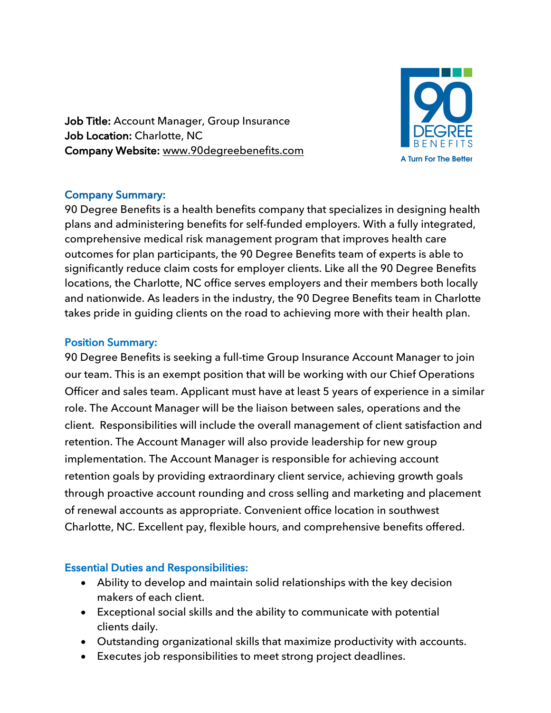Job Title: Account Manager, Group Insurance Job Location: Charlotte, NC Company Website: www.90degreebenefits.com



## Company Summary:

90 Degree Benefits is a health benefits company that specializes in designing health plans and administering benefits for self-funded employers. With a fully integrated, comprehensive medical risk management program that improves health care outcomes for plan participants, the 90 Degree Benefits team of experts is able to significantly reduce claim costs for employer clients. Like all the 90 Degree Benefits locations, the Charlotte, NC office serves employers and their members both locally and nationwide. As leaders in the industry, the 90 Degree Benefits team in Charlotte takes pride in guiding clients on the road to achieving more with their health plan.

## Position Summary:

90 Degree Benefits is seeking a full-time Group Insurance Account Manager to join our team. This is an exempt position that will be working with our Chief Operations Officer and sales team. Applicant must have at least 5 years of experience in a similar role. The Account Manager will be the liaison between sales, operations and the client. Responsibilities will include the overall management of client satisfaction and retention. The Account Manager will also provide leadership for new group implementation. The Account Manager is responsible for achieving account retention goals by providing extraordinary client service, achieving growth goals through proactive account rounding and cross selling and marketing and placement of renewal accounts as appropriate. Convenient office location in southwest Charlotte, NC. Excellent pay, flexible hours, and comprehensive benefits offered.

## Essential Duties and Responsibilities:

- Ability to develop and maintain solid relationships with the key decision makers of each client.
- Exceptional social skills and the ability to communicate with potential clients daily.
- Outstanding organizational skills that maximize productivity with accounts.
- Executes job responsibilities to meet strong project deadlines.